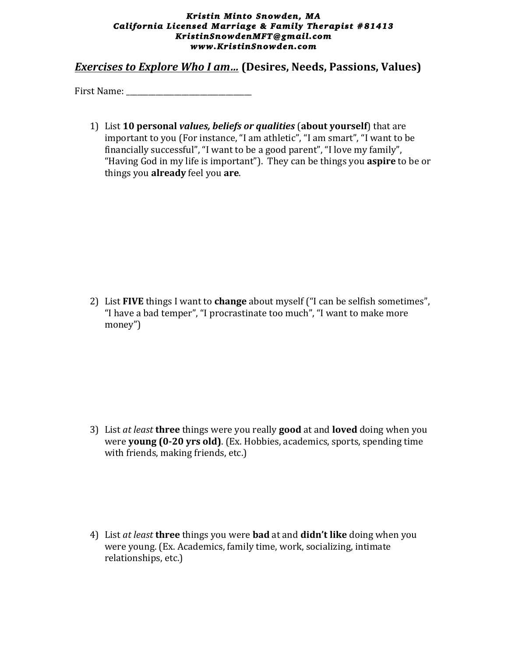## *Kristin Minto Snowden, MA California Licensed Marriage & Family Therapist #81413 KristinSnowdenMFT@gmail.com www.KristinSnowden.com*

*Exercises to Explore Who I am...* (Desires, Needs, Passions, Values)

First Name:

1) List 10 **personal** *values, beliefs* or *qualities* (about yourself) that are important to you (For instance, "I am athletic", "I am smart", "I want to be financially successful", "I want to be a good parent", "I love my family", "Having God in my life is important"). They can be things you **aspire** to be or things you **already** feel you **are**.

2) List **FIVE** things I want to **change** about myself ("I can be selfish sometimes", "I have a bad temper", "I procrastinate too much", "I want to make more money")

3) List *at least* **three** things were you really **good** at and **loved** doing when you were **young** (0-20 yrs old). (Ex. Hobbies, academics, sports, spending time with friends, making friends, etc.)

4) List *at least* **three** things you were **bad** at and **didn't like** doing when you were young. (Ex. Academics, family time, work, socializing, intimate relationships, etc.)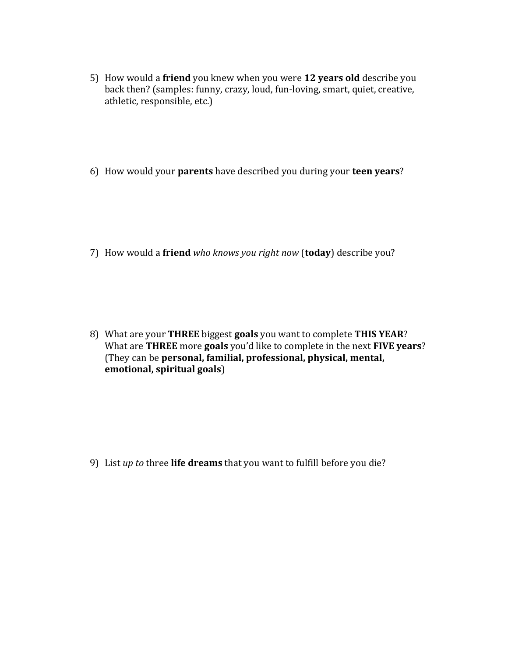- 5) How would a friend you knew when you were 12 years old describe you back then? (samples: funny, crazy, loud, fun-loving, smart, quiet, creative, athletic, responsible, etc.)
- 6) How would your **parents** have described you during your **teen years**?

7) How would a friend *who knows you right now* (today) describe you?

8) What are your THREE biggest goals you want to complete THIS YEAR? What are **THREE** more goals you'd like to complete in the next FIVE years? (They can be **personal, familial, professional, physical, mental, emotional, spiritual goals**)

9) List *up* to three **life dreams** that you want to fulfill before you die?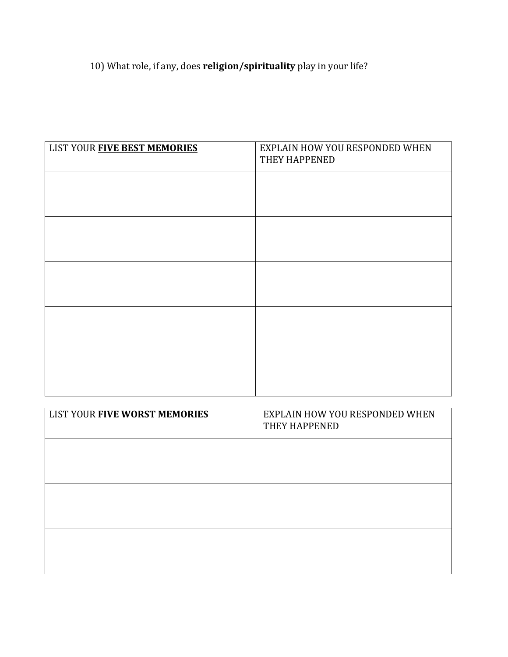## 10) What role, if any, does **religion/spirituality** play in your life?

| LIST YOUR FIVE BEST MEMORIES | EXPLAIN HOW YOU RESPONDED WHEN<br>THEY HAPPENED |
|------------------------------|-------------------------------------------------|
|                              |                                                 |
|                              |                                                 |
|                              |                                                 |
|                              |                                                 |
|                              |                                                 |
|                              |                                                 |

| LIST YOUR FIVE WORST MEMORIES | EXPLAIN HOW YOU RESPONDED WHEN<br>THEY HAPPENED |  |
|-------------------------------|-------------------------------------------------|--|
|                               |                                                 |  |
|                               |                                                 |  |
|                               |                                                 |  |
|                               |                                                 |  |
|                               |                                                 |  |
|                               |                                                 |  |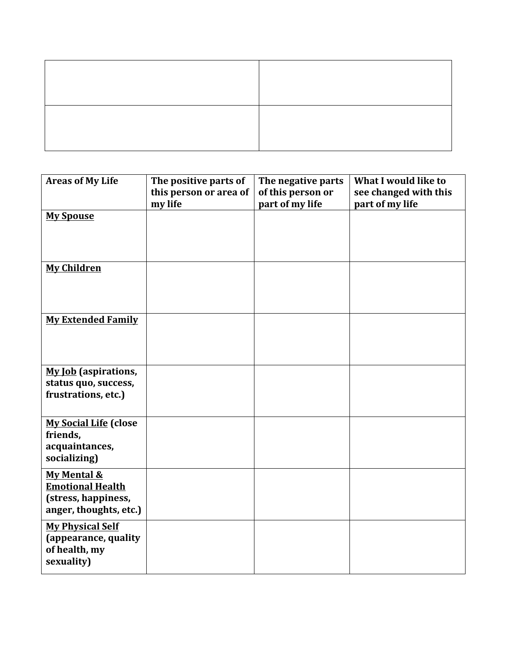| <b>Areas of My Life</b>                                                                 | The positive parts of<br>this person or area of<br>my life | The negative parts<br>of this person or<br>part of my life | What I would like to<br>see changed with this<br>part of my life |
|-----------------------------------------------------------------------------------------|------------------------------------------------------------|------------------------------------------------------------|------------------------------------------------------------------|
| <b>My Spouse</b>                                                                        |                                                            |                                                            |                                                                  |
| <b>My Children</b>                                                                      |                                                            |                                                            |                                                                  |
| <b>My Extended Family</b>                                                               |                                                            |                                                            |                                                                  |
| <b>My Job</b> (aspirations,<br>status quo, success,<br>frustrations, etc.)              |                                                            |                                                            |                                                                  |
| <b>My Social Life (close</b><br>friends,<br>acquaintances,<br>socializing)              |                                                            |                                                            |                                                                  |
| My Mental &<br><b>Emotional Health</b><br>(stress, happiness,<br>anger, thoughts, etc.) |                                                            |                                                            |                                                                  |
| <b>My Physical Self</b><br>(appearance, quality<br>of health, my<br>sexuality)          |                                                            |                                                            |                                                                  |